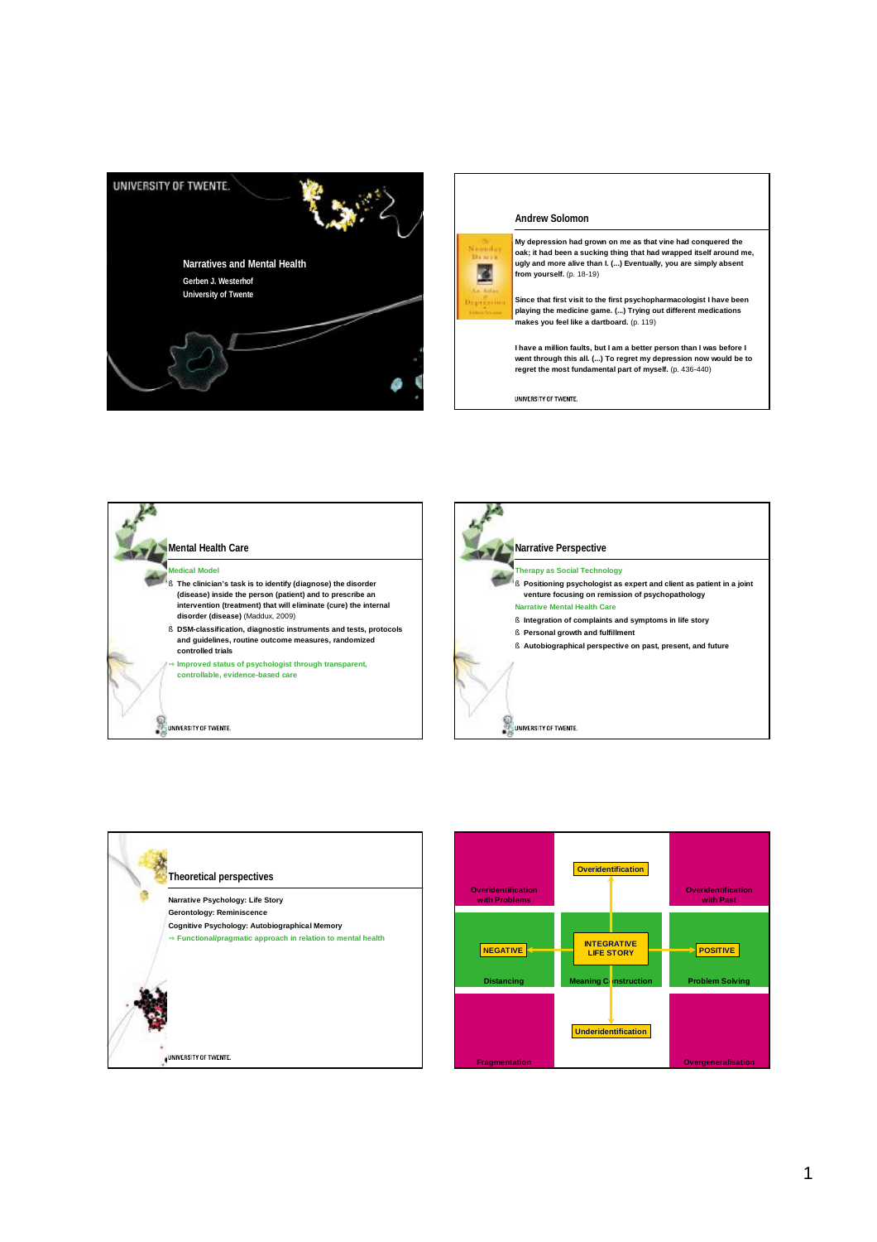



圈

**My depression had grown on me as that vine had conquered the oak; it had been a sucking thing that had wrapped itself around me, ugly and more alive than I. (...) Eventually, you are simply absent from yourself.** (p. 18-19)

**Since that first visit to the first psychopharmacologist I have been playing the medicine game. (...) Trying out different medications makes you feel like a dartboard.** (p. 119)

**I have a million faults, but I am a better person than I was before I went through this all. (...) To regret my depression now would be to regret the most fundamental part of myself.** (p. 436-440)

UNIVERSITY OF TWENTE.







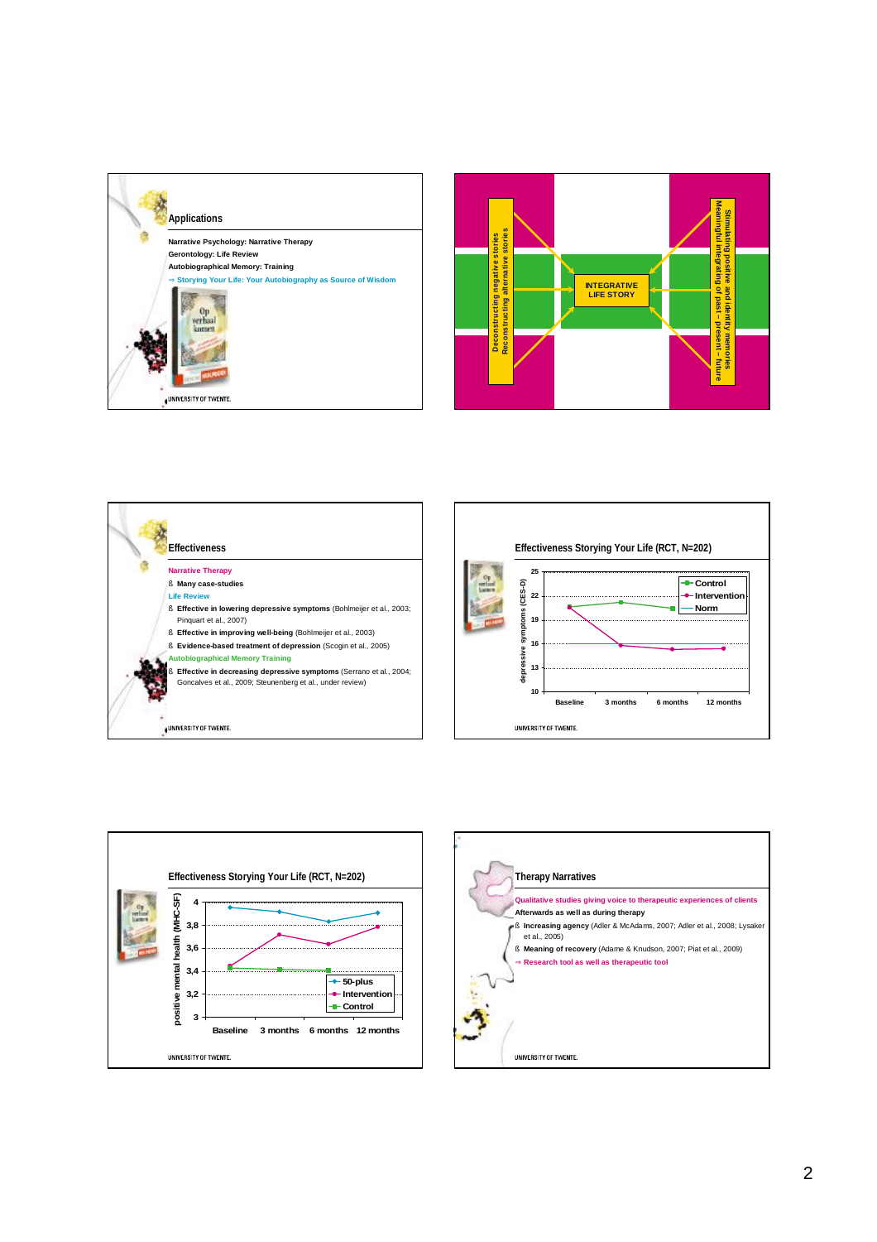